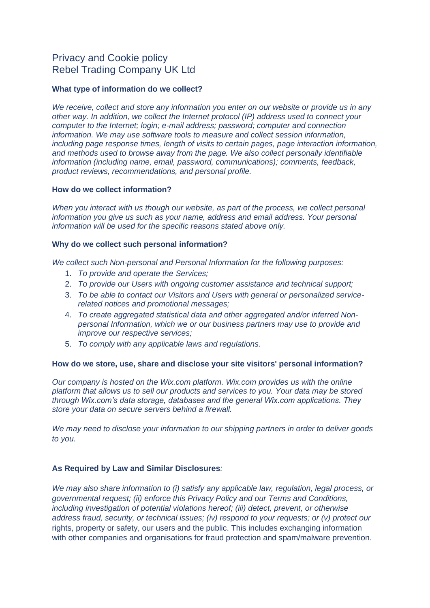# Privacy and Cookie policy Rebel Trading Company UK Ltd

# **What type of information do we collect?**

*We receive, collect and store any information you enter on our website or provide us in any other way. In addition, we collect the Internet protocol (IP) address used to connect your computer to the Internet; login; e-mail address; password; computer and connection information. We may use software tools to measure and collect session information, including page response times, length of visits to certain pages, page interaction information, and methods used to browse away from the page. We also collect personally identifiable information (including name, email, password, communications); comments, feedback, product reviews, recommendations, and personal profile.*

## **How do we collect information?**

*When you interact with us though our website, as part of the process, we collect personal information you give us such as your name, address and email address. Your personal information will be used for the specific reasons stated above only.*

## **Why do we collect such personal information?**

*We collect such Non-personal and Personal Information for the following purposes:*

- 1. *To provide and operate the Services;*
- 2. *To provide our Users with ongoing customer assistance and technical support;*
- 3. *To be able to contact our Visitors and Users with general or personalized servicerelated notices and promotional messages;*
- 4. *To create aggregated statistical data and other aggregated and/or inferred Nonpersonal Information, which we or our business partners may use to provide and improve our respective services;*
- 5. *To comply with any applicable laws and regulations.*

## **How do we store, use, share and disclose your site visitors' personal information?**

*Our company is hosted on the Wix.com platform. Wix.com provides us with the online platform that allows us to sell our products and services to you. Your data may be stored through Wix.com's data storage, databases and the general Wix.com applications. They store your data on secure servers behind a firewall.*

*We may need to disclose your information to our shipping partners in order to deliver goods to you.*

# **As Required by Law and Similar Disclosures***:*

*We may also share information to (i) satisfy any applicable law, regulation, legal process, or governmental request; (ii) enforce this Privacy Policy and our Terms and Conditions, including investigation of potential violations hereof; (iii) detect, prevent, or otherwise address fraud, security, or technical issues; (iv) respond to your requests; or (v) protect our* rights, property or safety, our users and the public. This includes exchanging information with other companies and organisations for fraud protection and spam/malware prevention.